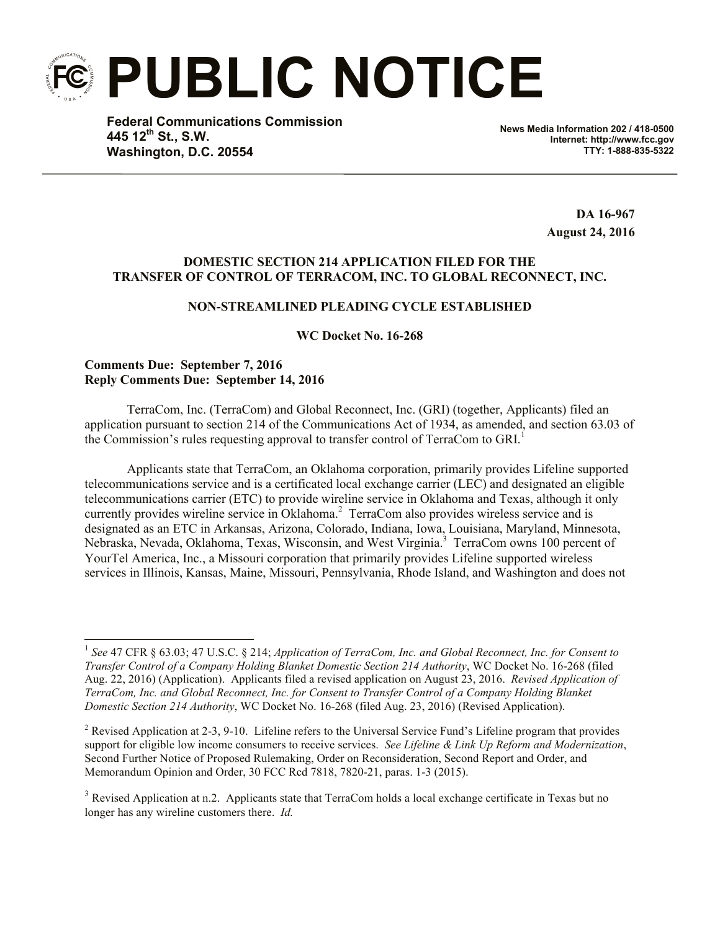**PUBLIC NOTICE**

**Federal Communications Commission 445 12th St., S.W. Washington, D.C. 20554**

**News Media Information 202 / 418-0500 Internet: http://www.fcc.gov TTY: 1-888-835-5322**

> **DA 16-967 August 24, 2016**

## **DOMESTIC SECTION 214 APPLICATION FILED FOR THE TRANSFER OF CONTROL OF TERRACOM, INC. TO GLOBAL RECONNECT, INC.**

# **NON-STREAMLINED PLEADING CYCLE ESTABLISHED**

## **WC Docket No. 16-268**

### **Comments Due: September 7, 2016 Reply Comments Due: September 14, 2016**

l

TerraCom, Inc. (TerraCom) and Global Reconnect, Inc. (GRI) (together, Applicants) filed an application pursuant to section 214 of the Communications Act of 1934, as amended, and section 63.03 of the Commission's rules requesting approval to transfer control of TerraCom to GRI. 1

Applicants state that TerraCom, an Oklahoma corporation, primarily provides Lifeline supported telecommunications service and is a certificated local exchange carrier (LEC) and designated an eligible telecommunications carrier (ETC) to provide wireline service in Oklahoma and Texas, although it only currently provides wireline service in Oklahoma.<sup>2</sup> TerraCom also provides wireless service and is designated as an ETC in Arkansas, Arizona, Colorado, Indiana, Iowa, Louisiana, Maryland, Minnesota, Nebraska, Nevada, Oklahoma, Texas, Wisconsin, and West Virginia.<sup>3</sup> TerraCom owns 100 percent of YourTel America, Inc., a Missouri corporation that primarily provides Lifeline supported wireless services in Illinois, Kansas, Maine, Missouri, Pennsylvania, Rhode Island, and Washington and does not

<sup>&</sup>lt;sup>1</sup> See 47 CFR § 63.03; 47 U.S.C. § 214; *Application of TerraCom, Inc. and Global Reconnect, Inc. for Consent to Transfer Control of a Company Holding Blanket Domestic Section 214 Authority*, WC Docket No. 16-268 (filed Aug. 22, 2016) (Application). Applicants filed a revised application on August 23, 2016. *Revised Application of TerraCom, Inc. and Global Reconnect, Inc. for Consent to Transfer Control of a Company Holding Blanket Domestic Section 214 Authority*, WC Docket No. 16-268 (filed Aug. 23, 2016) (Revised Application).

<sup>&</sup>lt;sup>2</sup> Revised Application at 2-3, 9-10. Lifeline refers to the Universal Service Fund's Lifeline program that provides support for eligible low income consumers to receive services. *See Lifeline & Link Up Reform and Modernization*, Second Further Notice of Proposed Rulemaking, Order on Reconsideration, Second Report and Order, and Memorandum Opinion and Order, 30 FCC Rcd 7818, 7820-21, paras. 1-3 (2015).

 $3$  Revised Application at n.2. Applicants state that TerraCom holds a local exchange certificate in Texas but no longer has any wireline customers there. *Id.*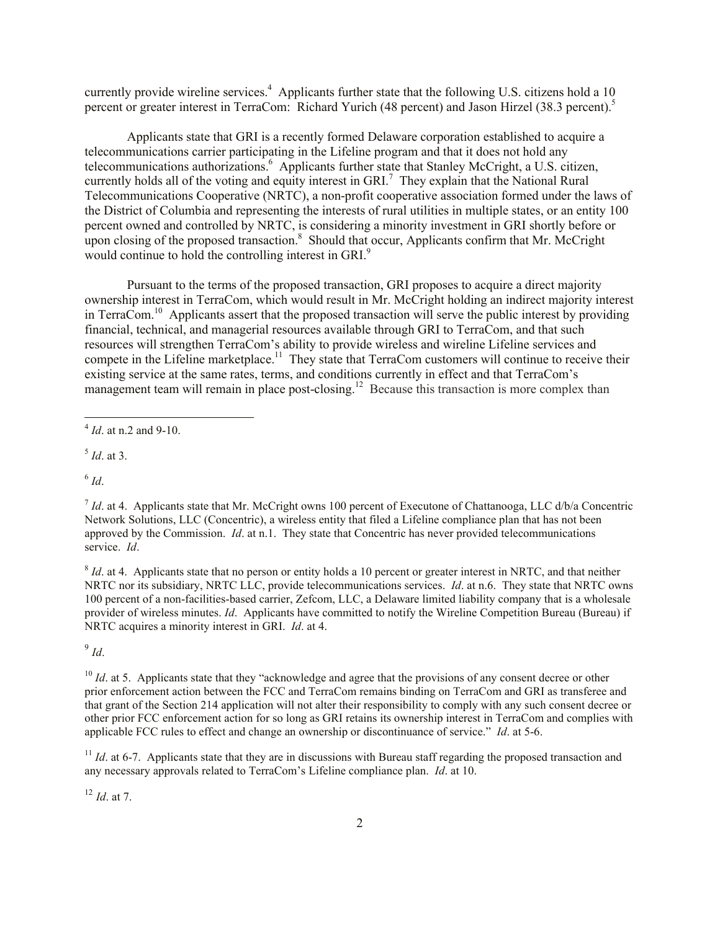currently provide wireline services.<sup>4</sup> Applicants further state that the following U.S. citizens hold a 10 percent or greater interest in TerraCom: Richard Yurich (48 percent) and Jason Hirzel (38.3 percent). 5

Applicants state that GRI is a recently formed Delaware corporation established to acquire a telecommunications carrier participating in the Lifeline program and that it does not hold any telecommunications authorizations.<sup>6</sup> Applicants further state that Stanley McCright, a U.S. citizen, currently holds all of the voting and equity interest in GRI.<sup>7</sup> They explain that the National Rural Telecommunications Cooperative (NRTC), a non-profit cooperative association formed under the laws of the District of Columbia and representing the interests of rural utilities in multiple states, or an entity 100 percent owned and controlled by NRTC, is considering a minority investment in GRI shortly before or upon closing of the proposed transaction. $8$  Should that occur, Applicants confirm that Mr. McCright would continue to hold the controlling interest in GRI.<sup>9</sup>

Pursuant to the terms of the proposed transaction, GRI proposes to acquire a direct majority ownership interest in TerraCom, which would result in Mr. McCright holding an indirect majority interest in TerraCom.<sup>10</sup> Applicants assert that the proposed transaction will serve the public interest by providing financial, technical, and managerial resources available through GRI to TerraCom, and that such resources will strengthen TerraCom's ability to provide wireless and wireline Lifeline services and compete in the Lifeline marketplace.<sup>11</sup> They state that TerraCom customers will continue to receive their existing service at the same rates, terms, and conditions currently in effect and that TerraCom's management team will remain in place post-closing.<sup>12</sup> Because this transaction is more complex than

5 *Id*. at 3.

6 *Id*.

<sup>8</sup> *Id*. at 4. Applicants state that no person or entity holds a 10 percent or greater interest in NRTC, and that neither NRTC nor its subsidiary, NRTC LLC, provide telecommunications services. *Id*. at n.6. They state that NRTC owns 100 percent of a non-facilities-based carrier, Zefcom, LLC, a Delaware limited liability company that is a wholesale provider of wireless minutes. *Id*. Applicants have committed to notify the Wireline Competition Bureau (Bureau) if NRTC acquires a minority interest in GRI. *Id*. at 4.

9 *Id*.

<sup>10</sup> *Id.* at 5. Applicants state that they "acknowledge and agree that the provisions of any consent decree or other prior enforcement action between the FCC and TerraCom remains binding on TerraCom and GRI as transferee and that grant of the Section 214 application will not alter their responsibility to comply with any such consent decree or other prior FCC enforcement action for so long as GRI retains its ownership interest in TerraCom and complies with applicable FCC rules to effect and change an ownership or discontinuance of service." *Id*. at 5-6.

<sup>11</sup> *Id.* at 6-7. Applicants state that they are in discussions with Bureau staff regarding the proposed transaction and any necessary approvals related to TerraCom's Lifeline compliance plan. *Id*. at 10.

 $12$  *Id.* at 7.

 4 *Id*. at n.2 and 9-10.

 $^7$  *Id.* at 4. Applicants state that Mr. McCright owns 100 percent of Executone of Chattanooga, LLC d/b/a Concentric Network Solutions, LLC (Concentric), a wireless entity that filed a Lifeline compliance plan that has not been approved by the Commission. *Id*. at n.1. They state that Concentric has never provided telecommunications service. *Id*.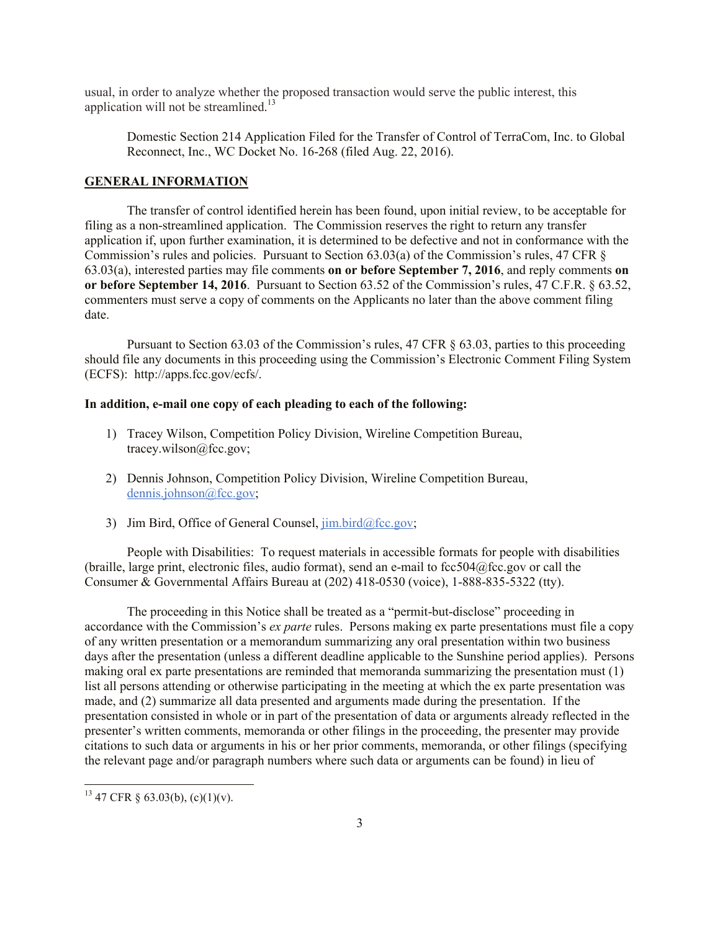usual, in order to analyze whether the proposed transaction would serve the public interest, this application will not be streamlined. 13

Domestic Section 214 Application Filed for the Transfer of Control of TerraCom, Inc. to Global Reconnect, Inc., WC Docket No. 16-268 (filed Aug. 22, 2016).

## **GENERAL INFORMATION**

The transfer of control identified herein has been found, upon initial review, to be acceptable for filing as a non-streamlined application. The Commission reserves the right to return any transfer application if, upon further examination, it is determined to be defective and not in conformance with the Commission's rules and policies. Pursuant to Section 63.03(a) of the Commission's rules, 47 CFR § 63.03(a), interested parties may file comments **on or before September 7, 2016**, and reply comments **on or before September 14, 2016**. Pursuant to Section 63.52 of the Commission's rules, 47 C.F.R. § 63.52, commenters must serve a copy of comments on the Applicants no later than the above comment filing date.

Pursuant to Section 63.03 of the Commission's rules, 47 CFR § 63.03, parties to this proceeding should file any documents in this proceeding using the Commission's Electronic Comment Filing System (ECFS): http://apps.fcc.gov/ecfs/.

#### **In addition, e-mail one copy of each pleading to each of the following:**

- 1) Tracey Wilson, Competition Policy Division, Wireline Competition Bureau, tracey.wilson@fcc.gov;
- 2) Dennis Johnson, Competition Policy Division, Wireline Competition Bureau, dennis.johnson@fcc.gov;
- 3) Jim Bird, Office of General Counsel, jim.bird@fcc.gov;

People with Disabilities: To request materials in accessible formats for people with disabilities (braille, large print, electronic files, audio format), send an e-mail to fcc504@fcc.gov or call the Consumer & Governmental Affairs Bureau at (202) 418-0530 (voice), 1-888-835-5322 (tty).

The proceeding in this Notice shall be treated as a "permit-but-disclose" proceeding in accordance with the Commission's *ex parte* rules. Persons making ex parte presentations must file a copy of any written presentation or a memorandum summarizing any oral presentation within two business days after the presentation (unless a different deadline applicable to the Sunshine period applies). Persons making oral ex parte presentations are reminded that memoranda summarizing the presentation must (1) list all persons attending or otherwise participating in the meeting at which the ex parte presentation was made, and (2) summarize all data presented and arguments made during the presentation. If the presentation consisted in whole or in part of the presentation of data or arguments already reflected in the presenter's written comments, memoranda or other filings in the proceeding, the presenter may provide citations to such data or arguments in his or her prior comments, memoranda, or other filings (specifying the relevant page and/or paragraph numbers where such data or arguments can be found) in lieu of

l

 $^{13}$  47 CFR § 63.03(b), (c)(1)(v).